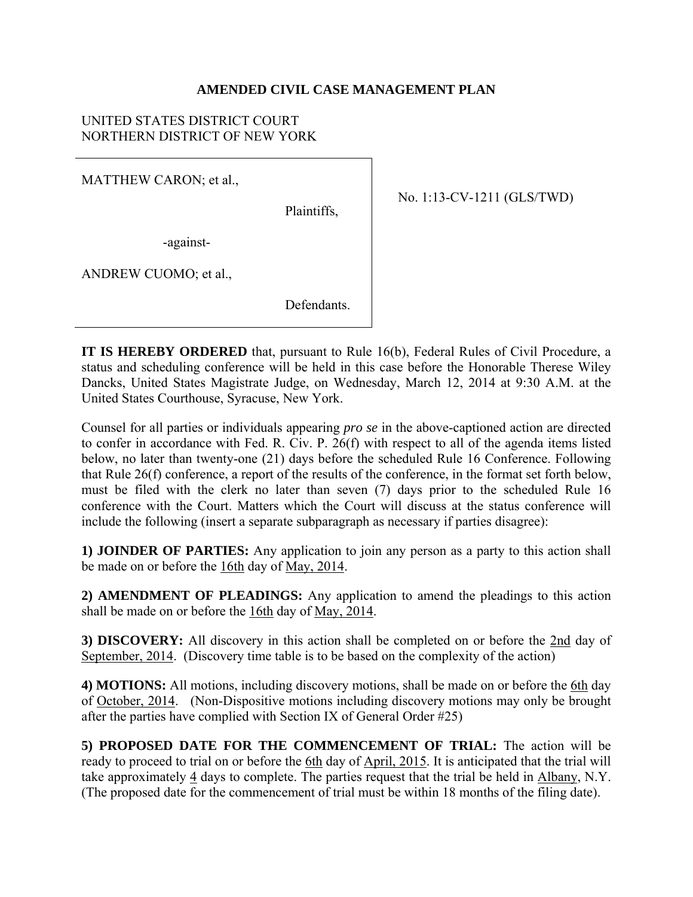### **AMENDED CIVIL CASE MANAGEMENT PLAN**

### UNITED STATES DISTRICT COURT NORTHERN DISTRICT OF NEW YORK

MATTHEW CARON; et al.,

Plaintiffs,

-against-

ANDREW CUOMO; et al.,

Defendants.

No. 1:13-CV-1211 (GLS/TWD)

**IT IS HEREBY ORDERED** that, pursuant to Rule 16(b), Federal Rules of Civil Procedure, a status and scheduling conference will be held in this case before the Honorable Therese Wiley Dancks, United States Magistrate Judge, on Wednesday, March 12, 2014 at 9:30 A.M. at the United States Courthouse, Syracuse, New York.

Counsel for all parties or individuals appearing *pro se* in the above-captioned action are directed to confer in accordance with Fed. R. Civ. P. 26(f) with respect to all of the agenda items listed below, no later than twenty-one (21) days before the scheduled Rule 16 Conference. Following that Rule 26(f) conference, a report of the results of the conference, in the format set forth below, must be filed with the clerk no later than seven (7) days prior to the scheduled Rule 16 conference with the Court. Matters which the Court will discuss at the status conference will include the following (insert a separate subparagraph as necessary if parties disagree):

**1) JOINDER OF PARTIES:** Any application to join any person as a party to this action shall be made on or before the 16th day of May, 2014.

**2) AMENDMENT OF PLEADINGS:** Any application to amend the pleadings to this action shall be made on or before the 16th day of May, 2014.

**3) DISCOVERY:** All discovery in this action shall be completed on or before the 2nd day of September, 2014. (Discovery time table is to be based on the complexity of the action)

**4) MOTIONS:** All motions, including discovery motions, shall be made on or before the 6th day of October, 2014. (Non-Dispositive motions including discovery motions may only be brought after the parties have complied with Section IX of General Order #25)

**5) PROPOSED DATE FOR THE COMMENCEMENT OF TRIAL:** The action will be ready to proceed to trial on or before the 6th day of April, 2015. It is anticipated that the trial will take approximately 4 days to complete. The parties request that the trial be held in Albany, N.Y. (The proposed date for the commencement of trial must be within 18 months of the filing date).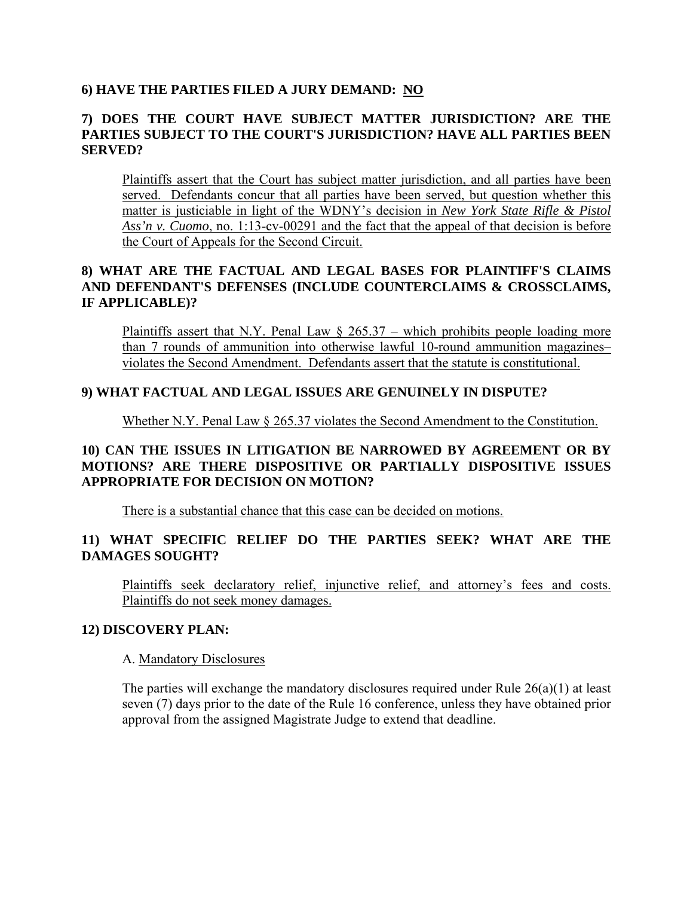### **6) HAVE THE PARTIES FILED A JURY DEMAND: NO**

## **7) DOES THE COURT HAVE SUBJECT MATTER JURISDICTION? ARE THE PARTIES SUBJECT TO THE COURT'S JURISDICTION? HAVE ALL PARTIES BEEN SERVED?**

Plaintiffs assert that the Court has subject matter jurisdiction, and all parties have been served. Defendants concur that all parties have been served, but question whether this matter is justiciable in light of the WDNY's decision in *New York State Rifle & Pistol Ass'n v. Cuomo*, no. 1:13-cv-00291 and the fact that the appeal of that decision is before the Court of Appeals for the Second Circuit.

## **8) WHAT ARE THE FACTUAL AND LEGAL BASES FOR PLAINTIFF'S CLAIMS AND DEFENDANT'S DEFENSES (INCLUDE COUNTERCLAIMS & CROSSCLAIMS, IF APPLICABLE)?**

Plaintiffs assert that N.Y. Penal Law  $\S$  265.37 – which prohibits people loading more than 7 rounds of ammunition into otherwise lawful 10-round ammunition magazines– violates the Second Amendment. Defendants assert that the statute is constitutional.

### **9) WHAT FACTUAL AND LEGAL ISSUES ARE GENUINELY IN DISPUTE?**

Whether N.Y. Penal Law § 265.37 violates the Second Amendment to the Constitution.

### **10) CAN THE ISSUES IN LITIGATION BE NARROWED BY AGREEMENT OR BY MOTIONS? ARE THERE DISPOSITIVE OR PARTIALLY DISPOSITIVE ISSUES APPROPRIATE FOR DECISION ON MOTION?**

There is a substantial chance that this case can be decided on motions.

## **11) WHAT SPECIFIC RELIEF DO THE PARTIES SEEK? WHAT ARE THE DAMAGES SOUGHT?**

Plaintiffs seek declaratory relief, injunctive relief, and attorney's fees and costs. Plaintiffs do not seek money damages.

#### **12) DISCOVERY PLAN:**

#### A. Mandatory Disclosures

The parties will exchange the mandatory disclosures required under Rule 26(a)(1) at least seven (7) days prior to the date of the Rule 16 conference, unless they have obtained prior approval from the assigned Magistrate Judge to extend that deadline.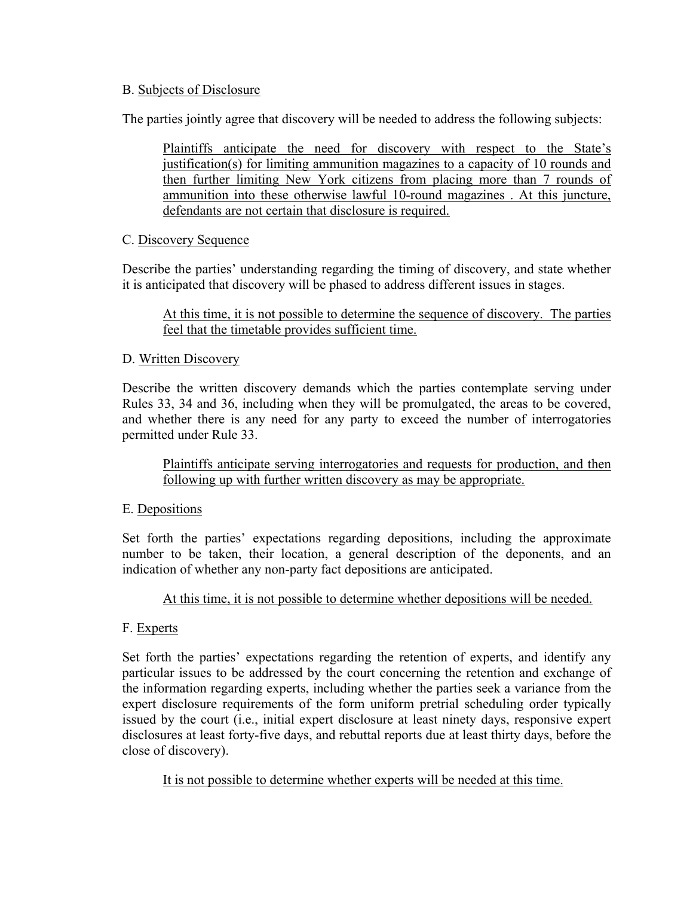### B. Subjects of Disclosure

The parties jointly agree that discovery will be needed to address the following subjects:

Plaintiffs anticipate the need for discovery with respect to the State's justification(s) for limiting ammunition magazines to a capacity of 10 rounds and then further limiting New York citizens from placing more than 7 rounds of ammunition into these otherwise lawful 10-round magazines . At this juncture, defendants are not certain that disclosure is required.

#### C. Discovery Sequence

Describe the parties' understanding regarding the timing of discovery, and state whether it is anticipated that discovery will be phased to address different issues in stages.

At this time, it is not possible to determine the sequence of discovery. The parties feel that the timetable provides sufficient time.

### D. Written Discovery

Describe the written discovery demands which the parties contemplate serving under Rules 33, 34 and 36, including when they will be promulgated, the areas to be covered, and whether there is any need for any party to exceed the number of interrogatories permitted under Rule 33.

Plaintiffs anticipate serving interrogatories and requests for production, and then following up with further written discovery as may be appropriate.

## E. Depositions

Set forth the parties' expectations regarding depositions, including the approximate number to be taken, their location, a general description of the deponents, and an indication of whether any non-party fact depositions are anticipated.

## At this time, it is not possible to determine whether depositions will be needed.

## F. Experts

Set forth the parties' expectations regarding the retention of experts, and identify any particular issues to be addressed by the court concerning the retention and exchange of the information regarding experts, including whether the parties seek a variance from the expert disclosure requirements of the form uniform pretrial scheduling order typically issued by the court (i.e., initial expert disclosure at least ninety days, responsive expert disclosures at least forty-five days, and rebuttal reports due at least thirty days, before the close of discovery).

It is not possible to determine whether experts will be needed at this time.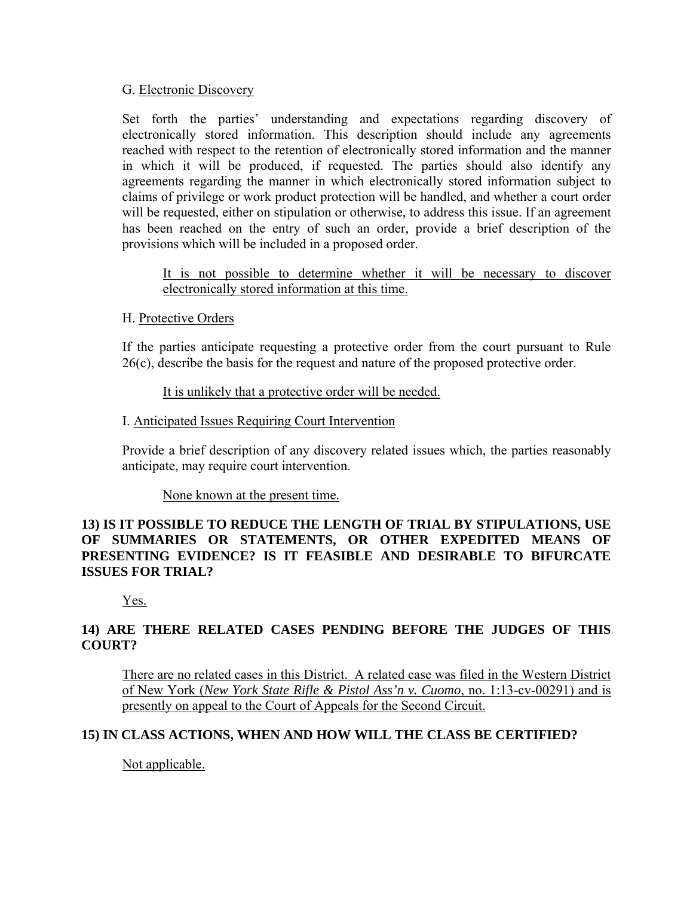#### G. Electronic Discovery

Set forth the parties' understanding and expectations regarding discovery of electronically stored information. This description should include any agreements reached with respect to the retention of electronically stored information and the manner in which it will be produced, if requested. The parties should also identify any agreements regarding the manner in which electronically stored information subject to claims of privilege or work product protection will be handled, and whether a court order will be requested, either on stipulation or otherwise, to address this issue. If an agreement has been reached on the entry of such an order, provide a brief description of the provisions which will be included in a proposed order.

It is not possible to determine whether it will be necessary to discover electronically stored information at this time.

#### H. Protective Orders

If the parties anticipate requesting a protective order from the court pursuant to Rule 26(c), describe the basis for the request and nature of the proposed protective order.

### It is unlikely that a protective order will be needed.

#### I. Anticipated Issues Requiring Court Intervention

Provide a brief description of any discovery related issues which, the parties reasonably anticipate, may require court intervention.

#### None known at the present time.

### **13) IS IT POSSIBLE TO REDUCE THE LENGTH OF TRIAL BY STIPULATIONS, USE OF SUMMARIES OR STATEMENTS, OR OTHER EXPEDITED MEANS OF PRESENTING EVIDENCE? IS IT FEASIBLE AND DESIRABLE TO BIFURCATE ISSUES FOR TRIAL?**

Yes.

# **14) ARE THERE RELATED CASES PENDING BEFORE THE JUDGES OF THIS COURT?**

There are no related cases in this District. A related case was filed in the Western District of New York (*New York State Rifle & Pistol Ass'n v. Cuomo*, no. 1:13-cv-00291) and is presently on appeal to the Court of Appeals for the Second Circuit.

## **15) IN CLASS ACTIONS, WHEN AND HOW WILL THE CLASS BE CERTIFIED?**

Not applicable.